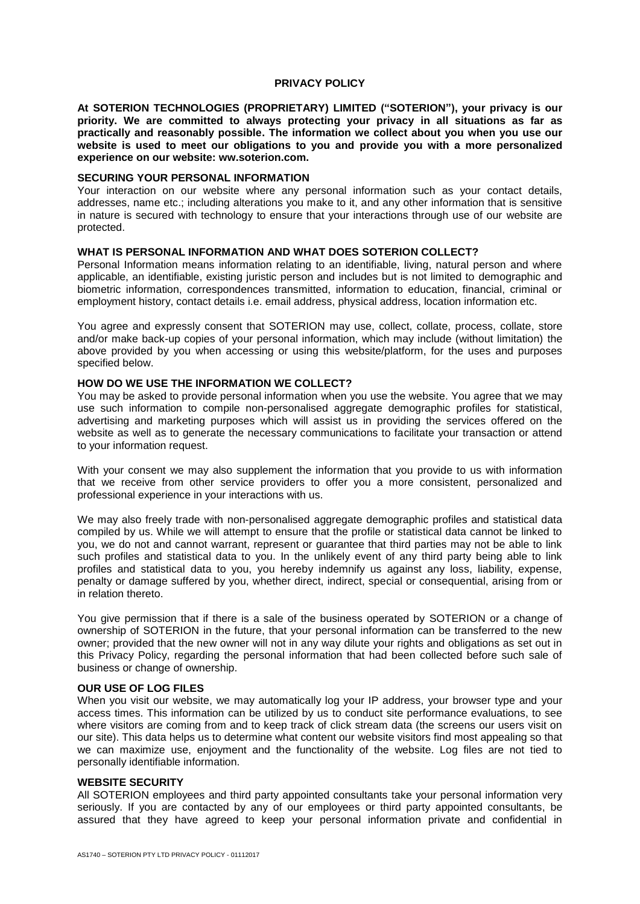### **PRIVACY POLICY**

**At SOTERION TECHNOLOGIES (PROPRIETARY) LIMITED ("SOTERION"), your privacy is our priority. We are committed to always protecting your privacy in all situations as far as practically and reasonably possible. The information we collect about you when you use our website is used to meet our obligations to you and provide you with a more personalized experience on our website: ww.soterion.com.**

## **SECURING YOUR PERSONAL INFORMATION**

Your interaction on our website where any personal information such as your contact details, addresses, name etc.; including alterations you make to it, and any other information that is sensitive in nature is secured with technology to ensure that your interactions through use of our website are protected.

# **WHAT IS PERSONAL INFORMATION AND WHAT DOES SOTERION COLLECT?**

Personal Information means information relating to an identifiable, living, natural person and where applicable, an identifiable, existing juristic person and includes but is not limited to demographic and biometric information, correspondences transmitted, information to education, financial, criminal or employment history, contact details i.e. email address, physical address, location information etc.

You agree and expressly consent that SOTERION may use, collect, collate, process, collate, store and/or make back-up copies of your personal information, which may include (without limitation) the above provided by you when accessing or using this website/platform, for the uses and purposes specified below.

# **HOW DO WE USE THE INFORMATION WE COLLECT?**

You may be asked to provide personal information when you use the website. You agree that we may use such information to compile non-personalised aggregate demographic profiles for statistical, advertising and marketing purposes which will assist us in providing the services offered on the website as well as to generate the necessary communications to facilitate your transaction or attend to your information request.

With your consent we may also supplement the information that you provide to us with information that we receive from other service providers to offer you a more consistent, personalized and professional experience in your interactions with us.

We may also freely trade with non-personalised aggregate demographic profiles and statistical data compiled by us. While we will attempt to ensure that the profile or statistical data cannot be linked to you, we do not and cannot warrant, represent or guarantee that third parties may not be able to link such profiles and statistical data to you. In the unlikely event of any third party being able to link profiles and statistical data to you, you hereby indemnify us against any loss, liability, expense, penalty or damage suffered by you, whether direct, indirect, special or consequential, arising from or in relation thereto.

You give permission that if there is a sale of the business operated by SOTERION or a change of ownership of SOTERION in the future, that your personal information can be transferred to the new owner; provided that the new owner will not in any way dilute your rights and obligations as set out in this Privacy Policy, regarding the personal information that had been collected before such sale of business or change of ownership.

# **OUR USE OF LOG FILES**

When you visit our website, we may automatically log your IP address, your browser type and your access times. This information can be utilized by us to conduct site performance evaluations, to see where visitors are coming from and to keep track of click stream data (the screens our users visit on our site). This data helps us to determine what content our website visitors find most appealing so that we can maximize use, enjoyment and the functionality of the website. Log files are not tied to personally identifiable information.

## **WEBSITE SECURITY**

All SOTERION employees and third party appointed consultants take your personal information very seriously. If you are contacted by any of our employees or third party appointed consultants, be assured that they have agreed to keep your personal information private and confidential in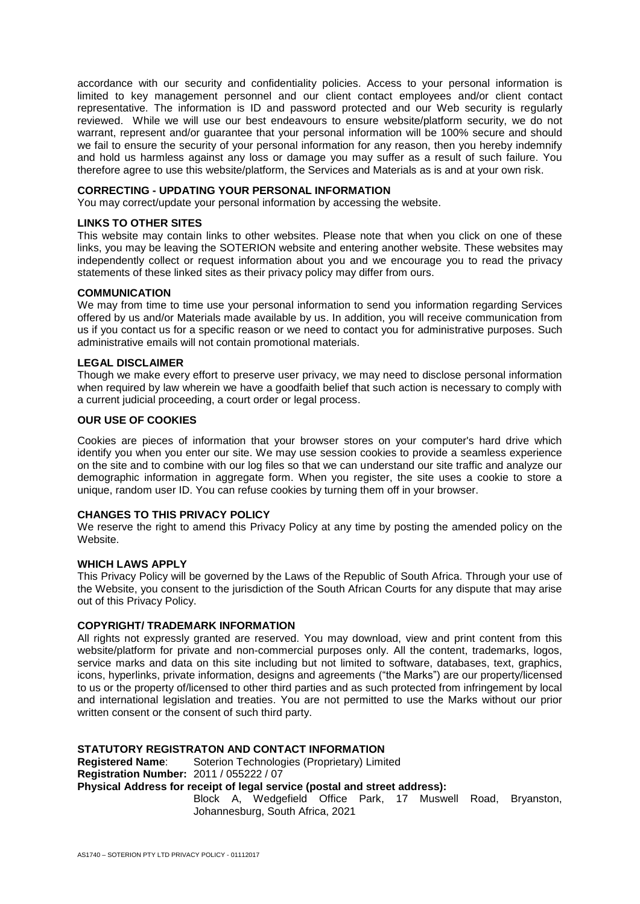accordance with our security and confidentiality policies. Access to your personal information is limited to key management personnel and our client contact employees and/or client contact representative. The information is ID and password protected and our Web security is regularly reviewed. While we will use our best endeavours to ensure website/platform security, we do not warrant, represent and/or guarantee that your personal information will be 100% secure and should we fail to ensure the security of your personal information for any reason, then you hereby indemnify and hold us harmless against any loss or damage you may suffer as a result of such failure. You therefore agree to use this website/platform, the Services and Materials as is and at your own risk.

## **CORRECTING - UPDATING YOUR PERSONAL INFORMATION**

You may correct/update your personal information by accessing the website.

#### **LINKS TO OTHER SITES**

This website may contain links to other websites. Please note that when you click on one of these links, you may be leaving the SOTERION website and entering another website. These websites may independently collect or request information about you and we encourage you to read the privacy statements of these linked sites as their privacy policy may differ from ours.

#### **COMMUNICATION**

We may from time to time use your personal information to send you information regarding Services offered by us and/or Materials made available by us. In addition, you will receive communication from us if you contact us for a specific reason or we need to contact you for administrative purposes. Such administrative emails will not contain promotional materials.

## **LEGAL DISCLAIMER**

Though we make every effort to preserve user privacy, we may need to disclose personal information when required by law wherein we have a goodfaith belief that such action is necessary to comply with a current judicial proceeding, a court order or legal process.

## **OUR USE OF COOKIES**

Cookies are pieces of information that your browser stores on your computer's hard drive which identify you when you enter our site. We may use session cookies to provide a seamless experience on the site and to combine with our log files so that we can understand our site traffic and analyze our demographic information in aggregate form. When you register, the site uses a cookie to store a unique, random user ID. You can refuse cookies by turning them off in your browser.

# **CHANGES TO THIS PRIVACY POLICY**

We reserve the right to amend this Privacy Policy at any time by posting the amended policy on the Website.

#### **WHICH LAWS APPLY**

This Privacy Policy will be governed by the Laws of the Republic of South Africa. Through your use of the Website, you consent to the jurisdiction of the South African Courts for any dispute that may arise out of this Privacy Policy.

## **COPYRIGHT/ TRADEMARK INFORMATION**

All rights not expressly granted are reserved. You may download, view and print content from this website/platform for private and non-commercial purposes only. All the content, trademarks, logos, service marks and data on this site including but not limited to software, databases, text, graphics, icons, hyperlinks, private information, designs and agreements ("the Marks") are our property/licensed to us or the property of/licensed to other third parties and as such protected from infringement by local and international legislation and treaties. You are not permitted to use the Marks without our prior written consent or the consent of such third party.

# **STATUTORY REGISTRATON AND CONTACT INFORMATION**

**Registered Name**: Soterion Technologies (Proprietary) Limited **Registration Number:** 2011 / 055222 / 07 **Physical Address for receipt of legal service (postal and street address):** Block A, Wedgefield Office Park, 17 Muswell Road, Bryanston, Johannesburg, South Africa, 2021